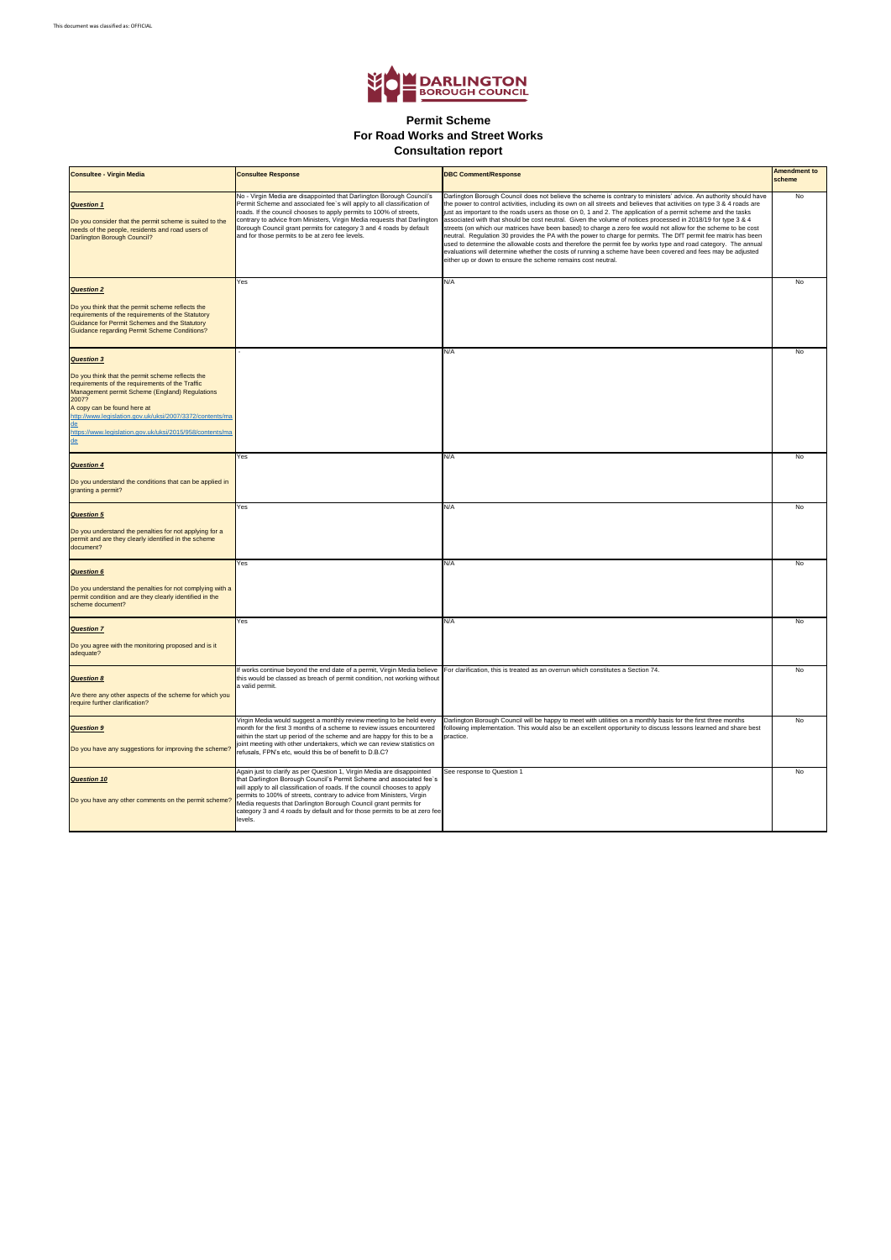

## **For Road Works and Street Works Permit Scheme Consultation report**

| <b>Consultee - Virgin Media</b>                                                                                                                                                                                                                                                                                                     | <b>Consultee Response</b>                                                                                                                                                                                                                                                                                                                                                                                                                                         | <b>DBC Comment/Response</b>                                                                                                                                                                                                                                                                                                                                                                                                                                                                                                                                                                                                                                                                                                                                                                                                                                                                                                                                                                                        | <b>Amendment to</b><br>scheme |
|-------------------------------------------------------------------------------------------------------------------------------------------------------------------------------------------------------------------------------------------------------------------------------------------------------------------------------------|-------------------------------------------------------------------------------------------------------------------------------------------------------------------------------------------------------------------------------------------------------------------------------------------------------------------------------------------------------------------------------------------------------------------------------------------------------------------|--------------------------------------------------------------------------------------------------------------------------------------------------------------------------------------------------------------------------------------------------------------------------------------------------------------------------------------------------------------------------------------------------------------------------------------------------------------------------------------------------------------------------------------------------------------------------------------------------------------------------------------------------------------------------------------------------------------------------------------------------------------------------------------------------------------------------------------------------------------------------------------------------------------------------------------------------------------------------------------------------------------------|-------------------------------|
| <b>Question 1</b><br>Do you consider that the permit scheme is suited to the<br>needs of the people, residents and road users of<br>Darlington Borough Council?                                                                                                                                                                     | No - Virgin Media are disappointed that Darlington Borough Council's<br>Permit Scheme and associated fee's will apply to all classification of<br>roads. If the council chooses to apply permits to 100% of streets,<br>contrary to advice from Ministers, Virgin Media requests that Darlington<br>Borough Council grant permits for category 3 and 4 roads by default<br>and for those permits to be at zero fee levels.                                        | Darlington Borough Council does not believe the scheme is contrary to ministers' advice. An authority should have<br>the power to control activities, including its own on all streets and believes that activities on type 3 & 4 roads are<br>just as important to the roads users as those on 0, 1 and 2. The application of a permit scheme and the tasks<br>associated with that should be cost neutral. Given the volume of notices processed in 2018/19 for type 3 & 4<br>streets (on which our matrices have been based) to charge a zero fee would not allow for the scheme to be cost<br>neutral. Regulation 30 provides the PA with the power to charge for permits. The DfT permit fee matrix has been<br>used to determine the allowable costs and therefore the permit fee by works type and road category. The annual<br>evaluations will determine whether the costs of running a scheme have been covered and fees may be adjusted<br>either up or down to ensure the scheme remains cost neutral. | <b>No</b>                     |
| <b>Question 2</b>                                                                                                                                                                                                                                                                                                                   | Yes                                                                                                                                                                                                                                                                                                                                                                                                                                                               | N/A                                                                                                                                                                                                                                                                                                                                                                                                                                                                                                                                                                                                                                                                                                                                                                                                                                                                                                                                                                                                                | No                            |
| Do you think that the permit scheme reflects the<br>requirements of the requirements of the Statutory<br>Guidance for Permit Schemes and the Statutory<br><b>Guidance regarding Permit Scheme Conditions?</b>                                                                                                                       |                                                                                                                                                                                                                                                                                                                                                                                                                                                                   |                                                                                                                                                                                                                                                                                                                                                                                                                                                                                                                                                                                                                                                                                                                                                                                                                                                                                                                                                                                                                    |                               |
| <b>Question 3</b>                                                                                                                                                                                                                                                                                                                   |                                                                                                                                                                                                                                                                                                                                                                                                                                                                   | N/A                                                                                                                                                                                                                                                                                                                                                                                                                                                                                                                                                                                                                                                                                                                                                                                                                                                                                                                                                                                                                | <b>No</b>                     |
| Do you think that the permit scheme reflects the<br>requirements of the requirements of the Traffic<br>Management permit Scheme (England) Regulations<br>2007?<br>A copy can be found here at<br>http://www.legislation.gov.uk/uksi/2007/3372/contents/ma<br>de<br>https://www.legislation.gov.uk/uksi/2015/958/contents/ma<br>$de$ |                                                                                                                                                                                                                                                                                                                                                                                                                                                                   |                                                                                                                                                                                                                                                                                                                                                                                                                                                                                                                                                                                                                                                                                                                                                                                                                                                                                                                                                                                                                    |                               |
| <b>Question 4</b>                                                                                                                                                                                                                                                                                                                   | Yes                                                                                                                                                                                                                                                                                                                                                                                                                                                               | N/A                                                                                                                                                                                                                                                                                                                                                                                                                                                                                                                                                                                                                                                                                                                                                                                                                                                                                                                                                                                                                | No                            |
| Do you understand the conditions that can be applied in<br>granting a permit?                                                                                                                                                                                                                                                       |                                                                                                                                                                                                                                                                                                                                                                                                                                                                   |                                                                                                                                                                                                                                                                                                                                                                                                                                                                                                                                                                                                                                                                                                                                                                                                                                                                                                                                                                                                                    |                               |
| <b>Question 5</b><br>Do you understand the penalties for not applying for a<br>permit and are they clearly identified in the scheme<br>document?                                                                                                                                                                                    | Yes                                                                                                                                                                                                                                                                                                                                                                                                                                                               | N/A                                                                                                                                                                                                                                                                                                                                                                                                                                                                                                                                                                                                                                                                                                                                                                                                                                                                                                                                                                                                                | No                            |
| <b>Question 6</b>                                                                                                                                                                                                                                                                                                                   | Yes                                                                                                                                                                                                                                                                                                                                                                                                                                                               | N/A                                                                                                                                                                                                                                                                                                                                                                                                                                                                                                                                                                                                                                                                                                                                                                                                                                                                                                                                                                                                                | No                            |
| Do you understand the penalties for not complying with a<br>permit condition and are they clearly identified in the<br>scheme document?                                                                                                                                                                                             |                                                                                                                                                                                                                                                                                                                                                                                                                                                                   |                                                                                                                                                                                                                                                                                                                                                                                                                                                                                                                                                                                                                                                                                                                                                                                                                                                                                                                                                                                                                    |                               |
| <b>Question 7</b>                                                                                                                                                                                                                                                                                                                   | Yes                                                                                                                                                                                                                                                                                                                                                                                                                                                               | N/A                                                                                                                                                                                                                                                                                                                                                                                                                                                                                                                                                                                                                                                                                                                                                                                                                                                                                                                                                                                                                | No                            |
| Do you agree with the monitoring proposed and is it<br>adequate?                                                                                                                                                                                                                                                                    |                                                                                                                                                                                                                                                                                                                                                                                                                                                                   |                                                                                                                                                                                                                                                                                                                                                                                                                                                                                                                                                                                                                                                                                                                                                                                                                                                                                                                                                                                                                    |                               |
| <b>Question 8</b>                                                                                                                                                                                                                                                                                                                   | If works continue beyond the end date of a permit, Virgin Media believe<br>this would be classed as breach of permit condition, not working without<br>a valid permit.                                                                                                                                                                                                                                                                                            | For clarification, this is treated as an overrun which constitutes a Section 74.                                                                                                                                                                                                                                                                                                                                                                                                                                                                                                                                                                                                                                                                                                                                                                                                                                                                                                                                   | No                            |
| Are there any other aspects of the scheme for which you<br>require further clarification?                                                                                                                                                                                                                                           |                                                                                                                                                                                                                                                                                                                                                                                                                                                                   |                                                                                                                                                                                                                                                                                                                                                                                                                                                                                                                                                                                                                                                                                                                                                                                                                                                                                                                                                                                                                    |                               |
| <b>Question 9</b><br>Do you have any suggestions for improving the scheme?                                                                                                                                                                                                                                                          | Virgin Media would suggest a monthly review meeting to be held every<br>month for the first 3 months of a scheme to review issues encountered<br>within the start up period of the scheme and are happy for this to be a<br>joint meeting with other undertakers, which we can review statistics on<br>refusals, FPN's etc, would this be of benefit to D.B.C?                                                                                                    | Darlington Borough Council will be happy to meet with utilities on a monthly basis for the first three months<br>following implementation. This would also be an excellent opportunity to discuss lessons learned and share best<br>practice.                                                                                                                                                                                                                                                                                                                                                                                                                                                                                                                                                                                                                                                                                                                                                                      | No                            |
| <b>Question 10</b><br>Do you have any other comments on the permit scheme?                                                                                                                                                                                                                                                          | Again just to clarify as per Question 1, Virgin Media are disappointed<br>that Darlington Borough Council's Permit Scheme and associated fee's<br>will apply to all classification of roads. If the council chooses to apply<br>permits to 100% of streets, contrary to advice from Ministers, Virgin<br>Media requests that Darlington Borough Council grant permits for<br>category 3 and 4 roads by default and for those permits to be at zero fee<br>levels. | See response to Question 1                                                                                                                                                                                                                                                                                                                                                                                                                                                                                                                                                                                                                                                                                                                                                                                                                                                                                                                                                                                         | No                            |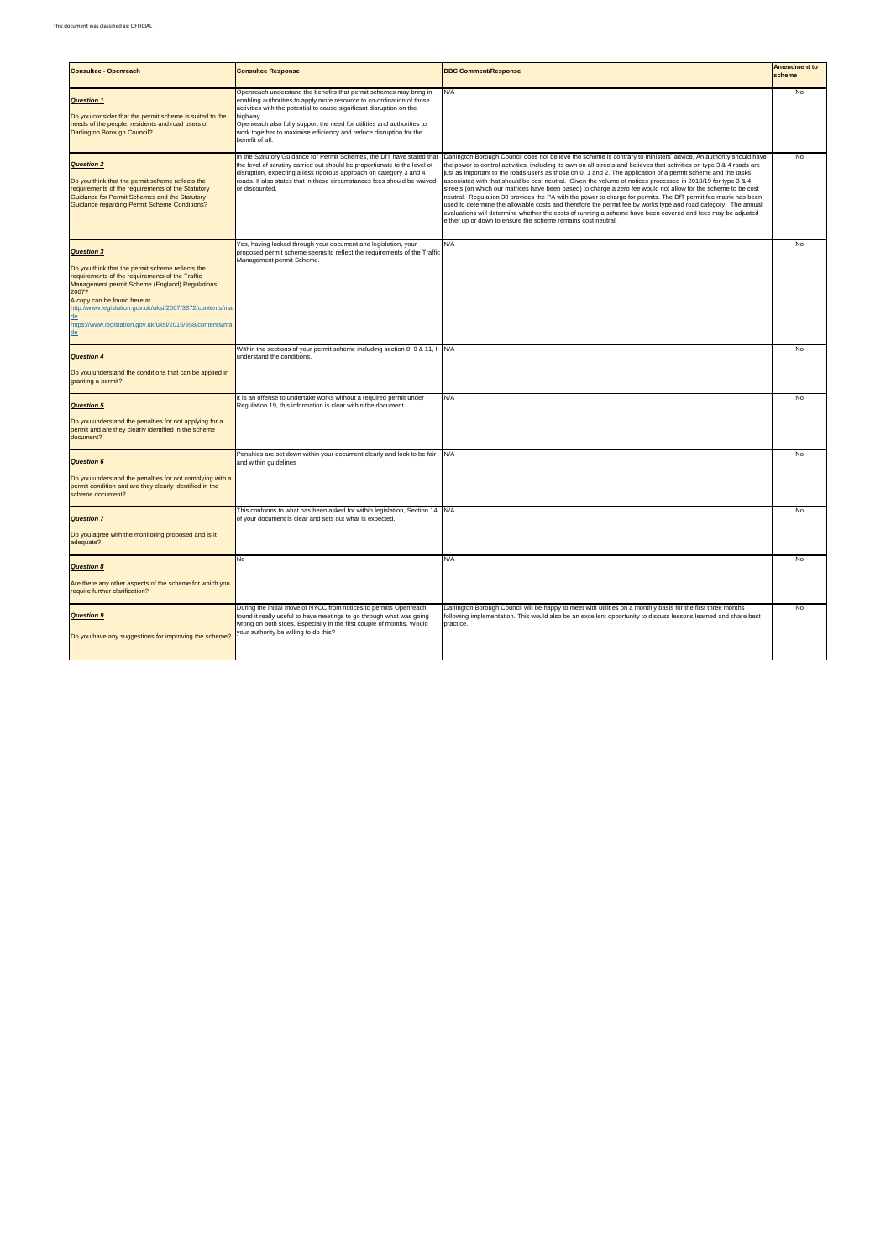| <b>Consultee - Openreach</b>                                                                                                                                                                                                                                                                                                                           | <b>Consultee Response</b>                                                                                                                                                                                                                                                                                                                                                                          | <b>DBC Comment/Response</b>                                                                                                                                                                                                                                                                                                                                                                                                                                                                                                                                                                                                                                                                                                                                                                                                                                                                                                                                                                                        | <b>Amendment to</b><br>scheme |
|--------------------------------------------------------------------------------------------------------------------------------------------------------------------------------------------------------------------------------------------------------------------------------------------------------------------------------------------------------|----------------------------------------------------------------------------------------------------------------------------------------------------------------------------------------------------------------------------------------------------------------------------------------------------------------------------------------------------------------------------------------------------|--------------------------------------------------------------------------------------------------------------------------------------------------------------------------------------------------------------------------------------------------------------------------------------------------------------------------------------------------------------------------------------------------------------------------------------------------------------------------------------------------------------------------------------------------------------------------------------------------------------------------------------------------------------------------------------------------------------------------------------------------------------------------------------------------------------------------------------------------------------------------------------------------------------------------------------------------------------------------------------------------------------------|-------------------------------|
| <b>Question 1</b><br>Do you consider that the permit scheme is suited to the<br>needs of the people, residents and road users of<br>Darlington Borough Council?                                                                                                                                                                                        | Openreach understand the benefits that permit schemes may bring in<br>enabling authorities to apply more resource to co-ordination of those<br>activities with the potential to cause significant disruption on the<br>highway.<br>Openreach also fully support the need for utilities and authorities to<br>work together to maximise efficiency and reduce disruption for the<br>benefit of all. | N/A                                                                                                                                                                                                                                                                                                                                                                                                                                                                                                                                                                                                                                                                                                                                                                                                                                                                                                                                                                                                                | No                            |
| <b>Question 2</b><br>Do you think that the permit scheme reflects the<br>requirements of the requirements of the Statutory<br>Guidance for Permit Schemes and the Statutory<br>Guidance regarding Permit Scheme Conditions?                                                                                                                            | In the Statutory Guidance for Permit Schemes, the DfT have stated that<br>the level of scrutiny carried out should be proportionate to the level of<br>disruption, expecting a less rigorous approach on category 3 and 4<br>roads. It also states that in these circumstances fees should be waived<br>or discounted.                                                                             | Darlington Borough Council does not believe the scheme is contrary to ministers' advice. An authority should have<br>the power to control activities, including its own on all streets and believes that activities on type 3 & 4 roads are<br>just as important to the roads users as those on 0, 1 and 2. The application of a permit scheme and the tasks<br>associated with that should be cost neutral. Given the volume of notices processed in 2018/19 for type 3 & 4<br>streets (on which our matrices have been based) to charge a zero fee would not allow for the scheme to be cost<br>neutral. Regulation 30 provides the PA with the power to charge for permits. The DfT permit fee matrix has been<br>used to determine the allowable costs and therefore the permit fee by works type and road category. The annual<br>evaluations will determine whether the costs of running a scheme have been covered and fees may be adjusted<br>either up or down to ensure the scheme remains cost neutral. | No                            |
| <b>Question 3</b><br>Do you think that the permit scheme reflects the<br>requirements of the requirements of the Traffic<br>Management permit Scheme (England) Regulations<br>2007?<br>A copy can be found here at<br>http://www.legislation.gov.uk/uksi/2007/3372/contents/ma<br>de<br>https://www.legislation.gov.uk/uksi/2015/958/contents/ma<br>de | Yes, having looked through your document and legislation, your<br>proposed permit scheme seems to reflect the requirements of the Traffic<br>Management permit Scheme.                                                                                                                                                                                                                             | N/A                                                                                                                                                                                                                                                                                                                                                                                                                                                                                                                                                                                                                                                                                                                                                                                                                                                                                                                                                                                                                | No                            |
| <b>Question 4</b><br>Do you understand the conditions that can be applied in<br>granting a permit?                                                                                                                                                                                                                                                     | Within the sections of your permit scheme including section 8, 9 & 11, I N/A<br>understand the conditions.                                                                                                                                                                                                                                                                                         |                                                                                                                                                                                                                                                                                                                                                                                                                                                                                                                                                                                                                                                                                                                                                                                                                                                                                                                                                                                                                    | No                            |
| <b>Question 5</b><br>Do you understand the penalties for not applying for a<br>permit and are they clearly identified in the scheme<br>document?                                                                                                                                                                                                       | It is an offense to undertake works without a required permit under<br>Regulation 19, this information is clear within the document.                                                                                                                                                                                                                                                               | N/A                                                                                                                                                                                                                                                                                                                                                                                                                                                                                                                                                                                                                                                                                                                                                                                                                                                                                                                                                                                                                | No                            |
| <b>Question 6</b><br>Do you understand the penalties for not complying with a<br>permit condition and are they clearly identified in the<br>scheme document?                                                                                                                                                                                           | Penalties are set down within your document clearly and look to be fair<br>and within guidelines                                                                                                                                                                                                                                                                                                   | N/A                                                                                                                                                                                                                                                                                                                                                                                                                                                                                                                                                                                                                                                                                                                                                                                                                                                                                                                                                                                                                | No                            |
| <b>Question 7</b><br>Do you agree with the monitoring proposed and is it<br>adequate?                                                                                                                                                                                                                                                                  | This conforms to what has been asked for within legislation, Section 14 N/A<br>of your document is clear and sets out what is expected.                                                                                                                                                                                                                                                            |                                                                                                                                                                                                                                                                                                                                                                                                                                                                                                                                                                                                                                                                                                                                                                                                                                                                                                                                                                                                                    | No                            |
| <b>Question 8</b><br>Are there any other aspects of the scheme for which you<br>require further clarification?                                                                                                                                                                                                                                         | No                                                                                                                                                                                                                                                                                                                                                                                                 | N/A                                                                                                                                                                                                                                                                                                                                                                                                                                                                                                                                                                                                                                                                                                                                                                                                                                                                                                                                                                                                                | No                            |
| <b>Question 9</b><br>Do you have any suggestions for improving the scheme?                                                                                                                                                                                                                                                                             | During the initial move of NYCC from notices to permits Openreach<br>found it really useful to have meetings to go through what was going<br>wrong on both sides. Especially in the first couple of months. Would<br>your authority be willing to do this?                                                                                                                                         | Darlington Borough Council will be happy to meet with utilities on a monthly basis for the first three months<br>following implementation. This would also be an excellent opportunity to discuss lessons learned and share best<br>practice.                                                                                                                                                                                                                                                                                                                                                                                                                                                                                                                                                                                                                                                                                                                                                                      | No                            |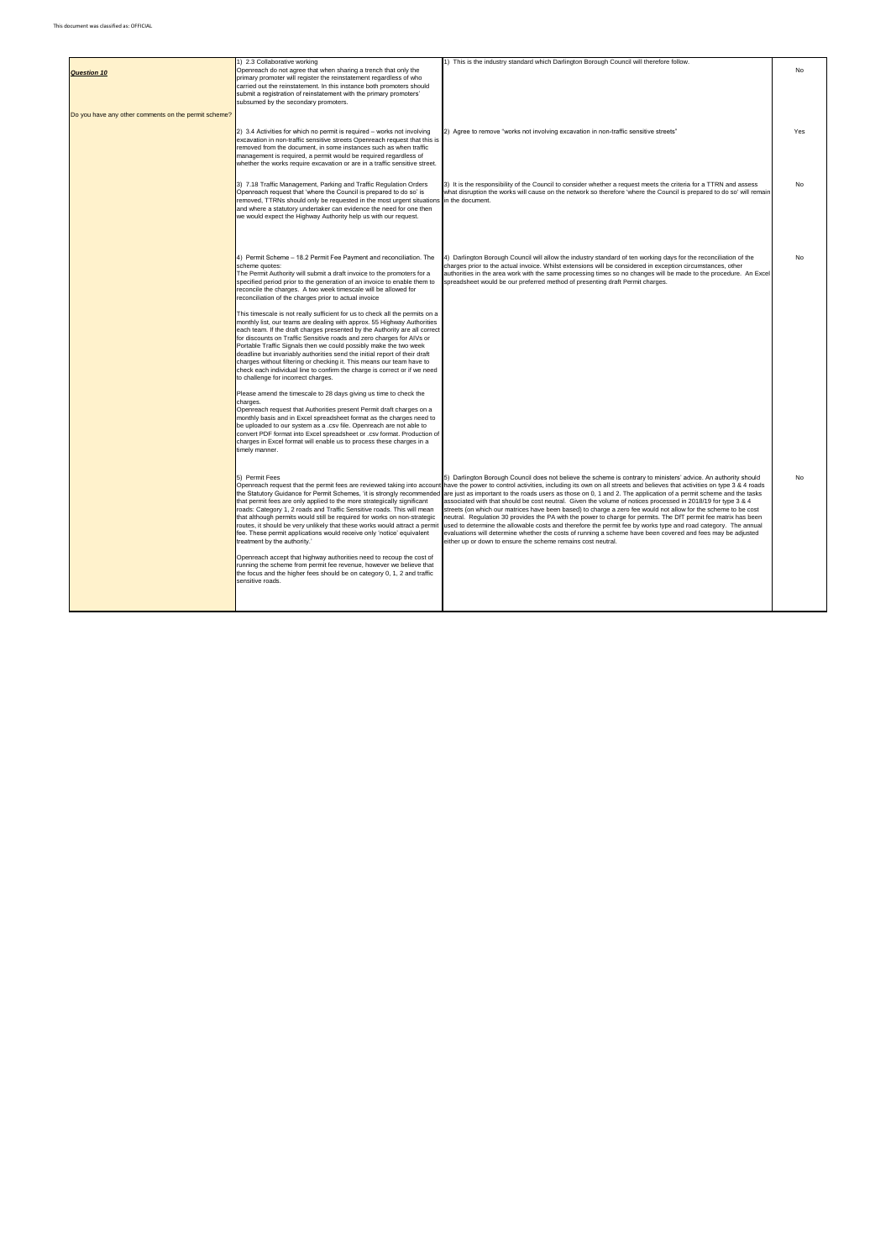| <b>Question 10</b>                                   | 1) 2.3 Collaborative working<br>Openreach do not agree that when sharing a trench that only the<br>primary promoter will register the reinstatement regardless of who<br>carried out the reinstatement. In this instance both promoters should<br>submit a registration of reinstatement with the primary promoters'<br>subsumed by the secondary promoters.                                                                                                                                                                                                                                                                                                   | 1) This is the industry standard which Darlington Borough Council will therefore follow.                                                                                                                                                                                                                                                                                                                                                                                                                                                                                                                                                                                                                                                                                                                                                                                                                                                                                                                                                                                                      | No  |
|------------------------------------------------------|----------------------------------------------------------------------------------------------------------------------------------------------------------------------------------------------------------------------------------------------------------------------------------------------------------------------------------------------------------------------------------------------------------------------------------------------------------------------------------------------------------------------------------------------------------------------------------------------------------------------------------------------------------------|-----------------------------------------------------------------------------------------------------------------------------------------------------------------------------------------------------------------------------------------------------------------------------------------------------------------------------------------------------------------------------------------------------------------------------------------------------------------------------------------------------------------------------------------------------------------------------------------------------------------------------------------------------------------------------------------------------------------------------------------------------------------------------------------------------------------------------------------------------------------------------------------------------------------------------------------------------------------------------------------------------------------------------------------------------------------------------------------------|-----|
| Do you have any other comments on the permit scheme? |                                                                                                                                                                                                                                                                                                                                                                                                                                                                                                                                                                                                                                                                |                                                                                                                                                                                                                                                                                                                                                                                                                                                                                                                                                                                                                                                                                                                                                                                                                                                                                                                                                                                                                                                                                               |     |
|                                                      | 2) 3.4 Activities for which no permit is required - works not involving<br>excavation in non-traffic sensitive streets Openreach request that this is<br>removed from the document, in some instances such as when traffic<br>management is required, a permit would be required regardless of<br>whether the works require excavation or are in a traffic sensitive street.                                                                                                                                                                                                                                                                                   | 2) Agree to remove "works not involving excavation in non-traffic sensitive streets"                                                                                                                                                                                                                                                                                                                                                                                                                                                                                                                                                                                                                                                                                                                                                                                                                                                                                                                                                                                                          | Yes |
|                                                      | 3) 7.18 Traffic Management, Parking and Traffic Regulation Orders<br>Openreach request that 'where the Council is prepared to do so' is<br>removed, TTRNs should only be requested in the most urgent situations in the document.<br>and where a statutory undertaker can evidence the need for one then<br>we would expect the Highway Authority help us with our request.                                                                                                                                                                                                                                                                                    | 3) It is the responsibility of the Council to consider whether a request meets the criteria for a TTRN and assess<br>what disruption the works will cause on the network so therefore 'where the Council is prepared to do so' will remain                                                                                                                                                                                                                                                                                                                                                                                                                                                                                                                                                                                                                                                                                                                                                                                                                                                    | No  |
|                                                      | 4) Permit Scheme - 18.2 Permit Fee Payment and reconciliation. The<br>scheme quotes:<br>The Permit Authority will submit a draft invoice to the promoters for a<br>specified period prior to the generation of an invoice to enable them to<br>reconcile the charges. A two week timescale will be allowed for<br>reconciliation of the charges prior to actual invoice                                                                                                                                                                                                                                                                                        | 4) Darlington Borough Council will allow the industry standard of ten working days for the reconciliation of the<br>charges prior to the actual invoice. Whilst extensions will be considered in exception circumstances, other<br>authorities in the area work with the same processing times so no changes will be made to the procedure. An Excel<br>spreadsheet would be our preferred method of presenting draft Permit charges.                                                                                                                                                                                                                                                                                                                                                                                                                                                                                                                                                                                                                                                         | No  |
|                                                      | This timescale is not really sufficient for us to check all the permits on a<br>monthly list, our teams are dealing with approx. 55 Highway Authorities<br>each team. If the draft charges presented by the Authority are all correct<br>for discounts on Traffic Sensitive roads and zero charges for AIVs or<br>Portable Traffic Signals then we could possibly make the two week<br>deadline but invariably authorities send the initial report of their draft<br>charges without filtering or checking it. This means our team have to<br>check each individual line to confirm the charge is correct or if we need<br>to challenge for incorrect charges. |                                                                                                                                                                                                                                                                                                                                                                                                                                                                                                                                                                                                                                                                                                                                                                                                                                                                                                                                                                                                                                                                                               |     |
|                                                      | Please amend the timescale to 28 days giving us time to check the<br>charges.<br>Openreach request that Authorities present Permit draft charges on a<br>monthly basis and in Excel spreadsheet format as the charges need to<br>be uploaded to our system as a .csv file. Openreach are not able to<br>convert PDF format into Excel spreadsheet or .csv format. Production of<br>charges in Excel format will enable us to process these charges in a<br>timely manner.                                                                                                                                                                                      |                                                                                                                                                                                                                                                                                                                                                                                                                                                                                                                                                                                                                                                                                                                                                                                                                                                                                                                                                                                                                                                                                               |     |
|                                                      | 5) Permit Fees<br>the Statutory Guidance for Permit Schemes, 'it is strongly recommended<br>that permit fees are only applied to the more strategically significant<br>roads: Category 1, 2 roads and Traffic Sensitive roads. This will mean<br>that although permits would still be required for works on non-strategic<br>routes, it should be very unlikely that these works would attract a permit<br>fee. These permit applications would receive only 'notice' equivalent<br>treatment by the authority.'                                                                                                                                               | 5) Darlington Borough Council does not believe the scheme is contrary to ministers' advice. An authority should<br>Openreach request that the permit fees are reviewed taking into account have the power to control activities, including its own on all streets and believes that activities on type 3 & 4 roads<br>are just as important to the roads users as those on 0, 1 and 2. The application of a permit scheme and the tasks<br>associated with that should be cost neutral. Given the volume of notices processed in 2018/19 for type 3 & 4<br>streets (on which our matrices have been based) to charge a zero fee would not allow for the scheme to be cost<br>neutral. Regulation 30 provides the PA with the power to charge for permits. The DfT permit fee matrix has been<br>used to determine the allowable costs and therefore the permit fee by works type and road category. The annual<br>evaluations will determine whether the costs of running a scheme have been covered and fees may be adjusted<br>either up or down to ensure the scheme remains cost neutral. | No  |
|                                                      | Openreach accept that highway authorities need to recoup the cost of<br>running the scheme from permit fee revenue, however we believe that<br>the focus and the higher fees should be on category 0, 1, 2 and traffic<br>sensitive roads.                                                                                                                                                                                                                                                                                                                                                                                                                     |                                                                                                                                                                                                                                                                                                                                                                                                                                                                                                                                                                                                                                                                                                                                                                                                                                                                                                                                                                                                                                                                                               |     |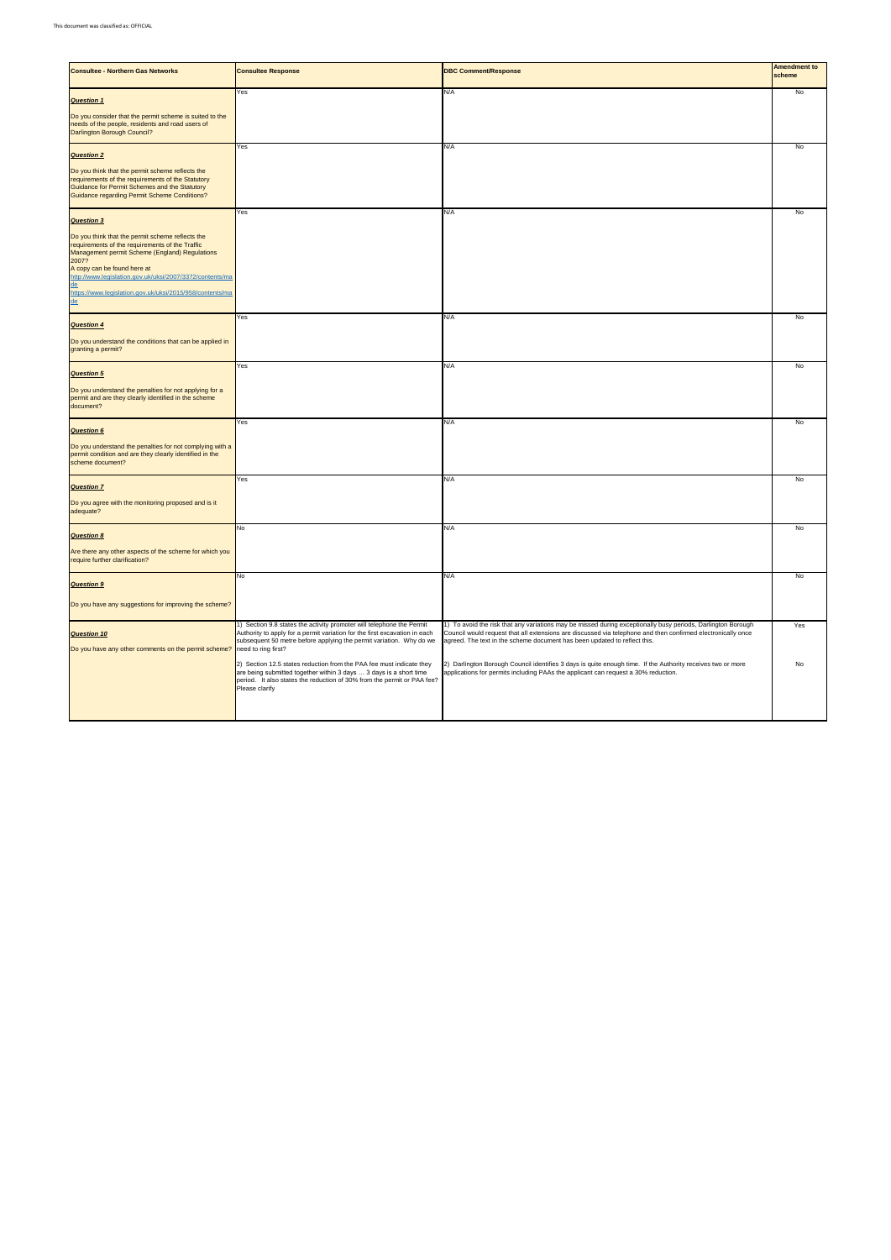| <b>Consultee - Northern Gas Networks</b>                                                                                                                                                                                                                                                                                                   | <b>Consultee Response</b>                                                                                                                                                                                                               | <b>DBC Comment/Response</b>                                                                                                                                                                                                                                                                               | <b>Amendment to</b><br>scheme |
|--------------------------------------------------------------------------------------------------------------------------------------------------------------------------------------------------------------------------------------------------------------------------------------------------------------------------------------------|-----------------------------------------------------------------------------------------------------------------------------------------------------------------------------------------------------------------------------------------|-----------------------------------------------------------------------------------------------------------------------------------------------------------------------------------------------------------------------------------------------------------------------------------------------------------|-------------------------------|
| <b>Question 1</b><br>Do you consider that the permit scheme is suited to the                                                                                                                                                                                                                                                               | Yes                                                                                                                                                                                                                                     | N/A                                                                                                                                                                                                                                                                                                       | No                            |
| needs of the people, residents and road users of<br>Darlington Borough Council?                                                                                                                                                                                                                                                            |                                                                                                                                                                                                                                         |                                                                                                                                                                                                                                                                                                           |                               |
| <b>Question 2</b>                                                                                                                                                                                                                                                                                                                          | Yes                                                                                                                                                                                                                                     | N/A                                                                                                                                                                                                                                                                                                       | No                            |
| Do you think that the permit scheme reflects the<br>requirements of the requirements of the Statutory<br>Guidance for Permit Schemes and the Statutory<br>Guidance regarding Permit Scheme Conditions?                                                                                                                                     |                                                                                                                                                                                                                                         |                                                                                                                                                                                                                                                                                                           |                               |
| <b>Question 3</b>                                                                                                                                                                                                                                                                                                                          | Yes                                                                                                                                                                                                                                     | N/A                                                                                                                                                                                                                                                                                                       | No                            |
| Do you think that the permit scheme reflects the<br>requirements of the requirements of the Traffic<br>Management permit Scheme (England) Regulations<br>2007?<br>A copy can be found here at<br>http://www.legislation.gov.uk/uksi/2007/3372/contents/ma<br><u>de</u><br>https://www.legislation.gov.uk/uksi/2015/958/contents/ma<br>$de$ |                                                                                                                                                                                                                                         |                                                                                                                                                                                                                                                                                                           |                               |
| <b>Question 4</b>                                                                                                                                                                                                                                                                                                                          | Yes                                                                                                                                                                                                                                     | N/A                                                                                                                                                                                                                                                                                                       | No                            |
| Do you understand the conditions that can be applied in<br>granting a permit?                                                                                                                                                                                                                                                              |                                                                                                                                                                                                                                         |                                                                                                                                                                                                                                                                                                           |                               |
| <b>Question 5</b>                                                                                                                                                                                                                                                                                                                          | Yes                                                                                                                                                                                                                                     | N/A                                                                                                                                                                                                                                                                                                       | No                            |
| Do you understand the penalties for not applying for a<br>permit and are they clearly identified in the scheme<br>document?                                                                                                                                                                                                                |                                                                                                                                                                                                                                         |                                                                                                                                                                                                                                                                                                           |                               |
| <b>Question 6</b>                                                                                                                                                                                                                                                                                                                          | Yes                                                                                                                                                                                                                                     | N/A                                                                                                                                                                                                                                                                                                       | No                            |
| Do you understand the penalties for not complying with a<br>permit condition and are they clearly identified in the<br>scheme document?                                                                                                                                                                                                    |                                                                                                                                                                                                                                         |                                                                                                                                                                                                                                                                                                           |                               |
| <b>Question 7</b>                                                                                                                                                                                                                                                                                                                          | Yes                                                                                                                                                                                                                                     | N/A                                                                                                                                                                                                                                                                                                       | No                            |
| Do you agree with the monitoring proposed and is it<br>adequate?                                                                                                                                                                                                                                                                           |                                                                                                                                                                                                                                         |                                                                                                                                                                                                                                                                                                           |                               |
| <b>Question 8</b>                                                                                                                                                                                                                                                                                                                          | No                                                                                                                                                                                                                                      | N/A                                                                                                                                                                                                                                                                                                       | No                            |
| Are there any other aspects of the scheme for which you<br>require further clarification?                                                                                                                                                                                                                                                  |                                                                                                                                                                                                                                         |                                                                                                                                                                                                                                                                                                           |                               |
| <b>Question 9</b>                                                                                                                                                                                                                                                                                                                          | No                                                                                                                                                                                                                                      | N/A                                                                                                                                                                                                                                                                                                       | No                            |
| Do you have any suggestions for improving the scheme?                                                                                                                                                                                                                                                                                      |                                                                                                                                                                                                                                         |                                                                                                                                                                                                                                                                                                           |                               |
| <b>Question 10</b><br>Do you have any other comments on the permit scheme? need to ring first?                                                                                                                                                                                                                                             | 1) Section 9.8 states the activity promoter will telephone the Permit<br>Authority to apply for a permit variation for the first excavation in each<br>subsequent 50 metre before applying the permit variation. Why do we              | 1) To avoid the risk that any variations may be missed during exceptionally busy periods, Darlington Borough<br>Council would request that all extensions are discussed via telephone and then confirmed electronically once<br>agreed. The text in the scheme document has been updated to reflect this. | Yes                           |
|                                                                                                                                                                                                                                                                                                                                            | 2) Section 12.5 states reduction from the PAA fee must indicate they<br>are being submitted together within 3 days  3 days is a short time<br>period. It also states the reduction of 30% from the permit or PAA fee?<br>Please clarify | 2) Darlington Borough Council identifies 3 days is quite enough time. If the Authority receives two or more<br>applications for permits including PAAs the applicant can request a 30% reduction.                                                                                                         | No                            |
|                                                                                                                                                                                                                                                                                                                                            |                                                                                                                                                                                                                                         |                                                                                                                                                                                                                                                                                                           |                               |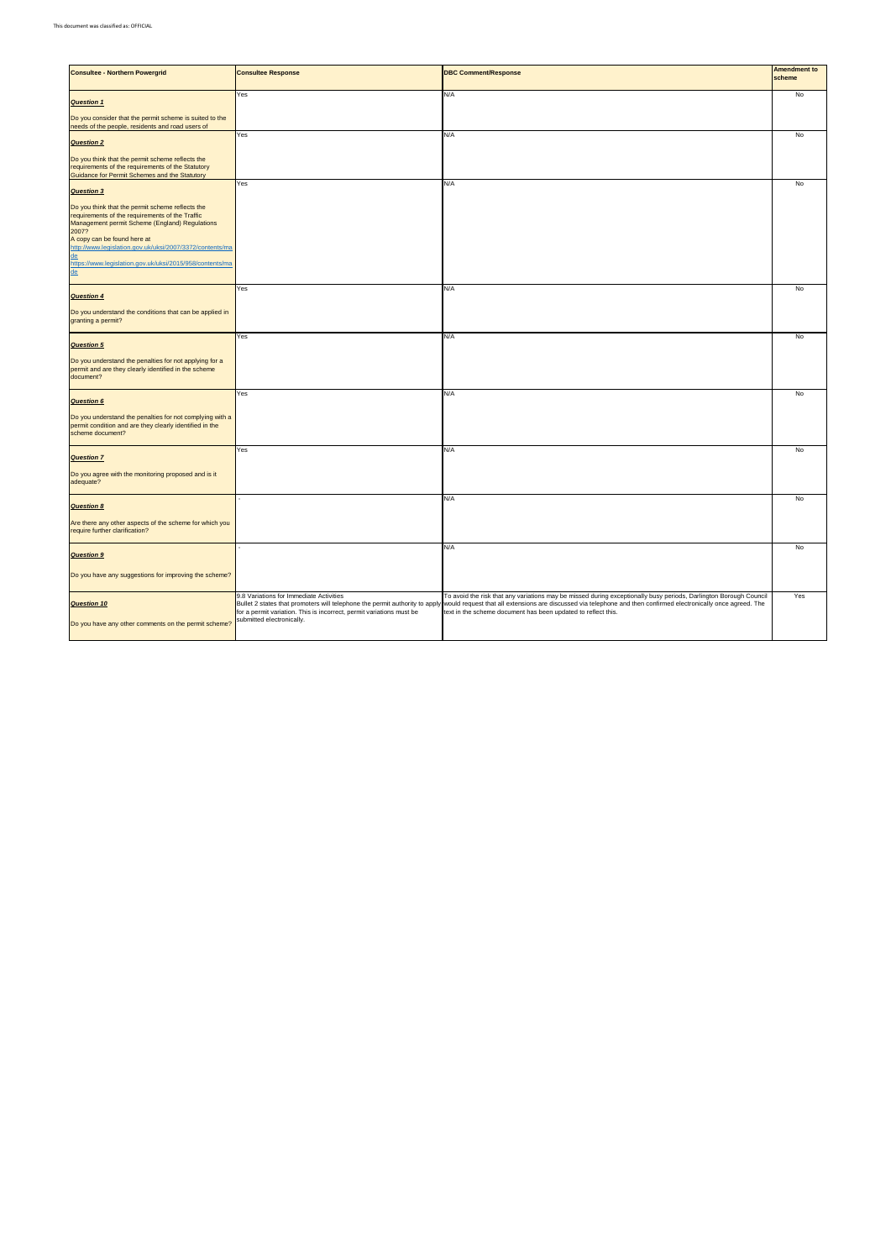| <b>Consultee - Northern Powergrid</b>                                                                                                                                                                                                                             | <b>Consultee Response</b>                                                                                                                    | <b>DBC Comment/Response</b>                                                                                                                                                                                                                                                                                                                                                        | <b>Amendment to</b><br>scheme |
|-------------------------------------------------------------------------------------------------------------------------------------------------------------------------------------------------------------------------------------------------------------------|----------------------------------------------------------------------------------------------------------------------------------------------|------------------------------------------------------------------------------------------------------------------------------------------------------------------------------------------------------------------------------------------------------------------------------------------------------------------------------------------------------------------------------------|-------------------------------|
| <b>Question 1</b>                                                                                                                                                                                                                                                 | Yes                                                                                                                                          | N/A                                                                                                                                                                                                                                                                                                                                                                                | No                            |
| Do you consider that the permit scheme is suited to the<br>needs of the people, residents and road users of                                                                                                                                                       |                                                                                                                                              |                                                                                                                                                                                                                                                                                                                                                                                    |                               |
| <b>Question 2</b>                                                                                                                                                                                                                                                 | Yes                                                                                                                                          | N/A                                                                                                                                                                                                                                                                                                                                                                                | No                            |
| Do you think that the permit scheme reflects the<br>requirements of the requirements of the Statutory<br>Guidance for Permit Schemes and the Statutory                                                                                                            |                                                                                                                                              |                                                                                                                                                                                                                                                                                                                                                                                    |                               |
| <b>Question 3</b>                                                                                                                                                                                                                                                 | Yes                                                                                                                                          | N/A                                                                                                                                                                                                                                                                                                                                                                                | No                            |
| Do you think that the permit scheme reflects the<br>requirements of the requirements of the Traffic<br>Management permit Scheme (England) Regulations<br>2007?<br>A copy can be found here at<br>http://www.legislation.gov.uk/uksi/2007/3372/contents/ma<br>$de$ |                                                                                                                                              |                                                                                                                                                                                                                                                                                                                                                                                    |                               |
| https://www.legislation.gov.uk/uksi/2015/958/contents/ma<br>$de$                                                                                                                                                                                                  |                                                                                                                                              |                                                                                                                                                                                                                                                                                                                                                                                    |                               |
| <b>Question 4</b>                                                                                                                                                                                                                                                 | Yes                                                                                                                                          | N/A                                                                                                                                                                                                                                                                                                                                                                                | No                            |
| Do you understand the conditions that can be applied in<br>granting a permit?                                                                                                                                                                                     |                                                                                                                                              |                                                                                                                                                                                                                                                                                                                                                                                    |                               |
| <b>Question 5</b>                                                                                                                                                                                                                                                 | Yes                                                                                                                                          | N/A                                                                                                                                                                                                                                                                                                                                                                                | No                            |
| Do you understand the penalties for not applying for a<br>permit and are they clearly identified in the scheme<br>document?                                                                                                                                       |                                                                                                                                              |                                                                                                                                                                                                                                                                                                                                                                                    |                               |
| <b>Question 6</b>                                                                                                                                                                                                                                                 | Yes                                                                                                                                          | N/A                                                                                                                                                                                                                                                                                                                                                                                | No                            |
| Do you understand the penalties for not complying with a<br>permit condition and are they clearly identified in the<br>scheme document?                                                                                                                           |                                                                                                                                              |                                                                                                                                                                                                                                                                                                                                                                                    |                               |
| <b>Question 7</b>                                                                                                                                                                                                                                                 | Yes                                                                                                                                          | N/A                                                                                                                                                                                                                                                                                                                                                                                | No                            |
| Do you agree with the monitoring proposed and is it<br>adequate?                                                                                                                                                                                                  |                                                                                                                                              |                                                                                                                                                                                                                                                                                                                                                                                    |                               |
| <b>Question 8</b>                                                                                                                                                                                                                                                 |                                                                                                                                              | N/A                                                                                                                                                                                                                                                                                                                                                                                | No                            |
| Are there any other aspects of the scheme for which you<br>require further clarification?                                                                                                                                                                         |                                                                                                                                              |                                                                                                                                                                                                                                                                                                                                                                                    |                               |
| <b>Question 9</b>                                                                                                                                                                                                                                                 |                                                                                                                                              | N/A                                                                                                                                                                                                                                                                                                                                                                                | No                            |
| Do you have any suggestions for improving the scheme?                                                                                                                                                                                                             |                                                                                                                                              |                                                                                                                                                                                                                                                                                                                                                                                    |                               |
| <b>Question 10</b><br>Do you have any other comments on the permit scheme?                                                                                                                                                                                        | 9.8 Variations for Immediate Activities<br>for a permit variation. This is incorrect, permit variations must be<br>submitted electronically. | To avoid the risk that any variations may be missed during exceptionally busy periods, Darlington Borough Council<br>Bullet 2 states that promoters will telephone the permit authority to apply would request that all extensions are discussed via telephone and then confirmed electronically once agreed. The<br>text in the scheme document has been updated to reflect this. | Yes                           |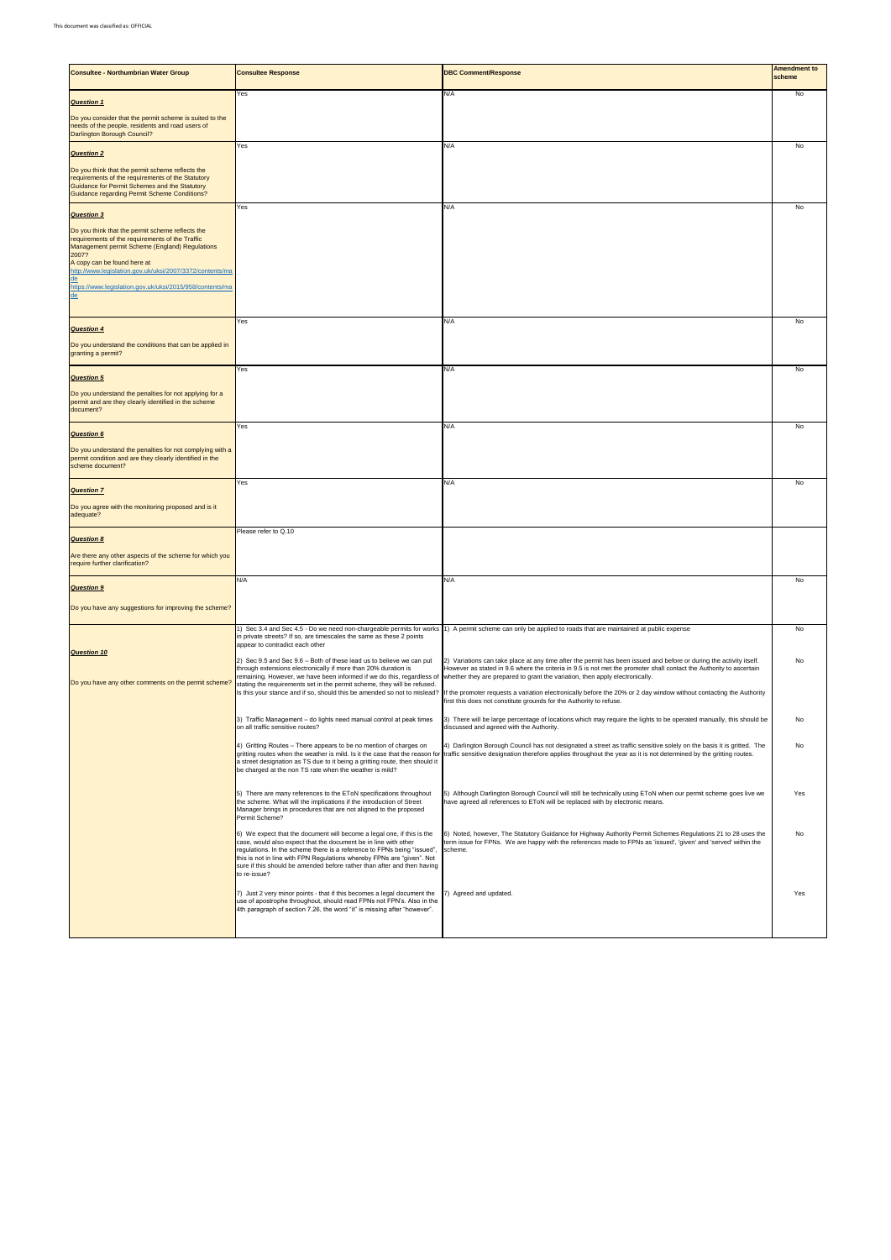| <b>Consultee - Northumbrian Water Group</b>                                                                                                                                                                                                                                                                                 | <b>Consultee Response</b>                                                                                                                                                                                                                                                                                                                                                                 | <b>DBC Comment/Response</b>                                                                                                                                                                                                                                                                                                | <b>Amendment to</b><br>scheme |
|-----------------------------------------------------------------------------------------------------------------------------------------------------------------------------------------------------------------------------------------------------------------------------------------------------------------------------|-------------------------------------------------------------------------------------------------------------------------------------------------------------------------------------------------------------------------------------------------------------------------------------------------------------------------------------------------------------------------------------------|----------------------------------------------------------------------------------------------------------------------------------------------------------------------------------------------------------------------------------------------------------------------------------------------------------------------------|-------------------------------|
| <b>Question 1</b>                                                                                                                                                                                                                                                                                                           | Yes                                                                                                                                                                                                                                                                                                                                                                                       | N/A                                                                                                                                                                                                                                                                                                                        | No                            |
| Do you consider that the permit scheme is suited to the<br>needs of the people, residents and road users of<br>Darlington Borough Council?                                                                                                                                                                                  |                                                                                                                                                                                                                                                                                                                                                                                           |                                                                                                                                                                                                                                                                                                                            |                               |
| <b>Question 2</b>                                                                                                                                                                                                                                                                                                           | Yes                                                                                                                                                                                                                                                                                                                                                                                       | N/A                                                                                                                                                                                                                                                                                                                        | No                            |
| Do you think that the permit scheme reflects the<br>requirements of the requirements of the Statutory<br>Guidance for Permit Schemes and the Statutory<br><b>Guidance regarding Permit Scheme Conditions?</b>                                                                                                               |                                                                                                                                                                                                                                                                                                                                                                                           |                                                                                                                                                                                                                                                                                                                            |                               |
| <b>Question 3</b>                                                                                                                                                                                                                                                                                                           | Yes                                                                                                                                                                                                                                                                                                                                                                                       | N/A                                                                                                                                                                                                                                                                                                                        | No                            |
| Do you think that the permit scheme reflects the<br>requirements of the requirements of the Traffic<br>Management permit Scheme (England) Regulations<br>2007?<br>A copy can be found here at<br>http://www.legislation.gov.uk/uksi/2007/3372/contents/ma<br>de<br>https://www.legislation.gov.uk/uksi/2015/958/contents/ma |                                                                                                                                                                                                                                                                                                                                                                                           |                                                                                                                                                                                                                                                                                                                            |                               |
| $de$                                                                                                                                                                                                                                                                                                                        |                                                                                                                                                                                                                                                                                                                                                                                           |                                                                                                                                                                                                                                                                                                                            |                               |
| <b>Question 4</b><br>Do you understand the conditions that can be applied in<br>granting a permit?                                                                                                                                                                                                                          | Yes                                                                                                                                                                                                                                                                                                                                                                                       | N/A                                                                                                                                                                                                                                                                                                                        | <b>No</b>                     |
|                                                                                                                                                                                                                                                                                                                             | Yes                                                                                                                                                                                                                                                                                                                                                                                       | N/A                                                                                                                                                                                                                                                                                                                        | No                            |
| <b>Question 5</b><br>Do you understand the penalties for not applying for a<br>permit and are they clearly identified in the scheme<br>document?                                                                                                                                                                            |                                                                                                                                                                                                                                                                                                                                                                                           |                                                                                                                                                                                                                                                                                                                            |                               |
| <b>Question 6</b>                                                                                                                                                                                                                                                                                                           | Yes                                                                                                                                                                                                                                                                                                                                                                                       | N/A                                                                                                                                                                                                                                                                                                                        | No                            |
| Do you understand the penalties for not complying with a<br>permit condition and are they clearly identified in the<br>scheme document?                                                                                                                                                                                     |                                                                                                                                                                                                                                                                                                                                                                                           |                                                                                                                                                                                                                                                                                                                            |                               |
| <b>Question 7</b>                                                                                                                                                                                                                                                                                                           | Yes                                                                                                                                                                                                                                                                                                                                                                                       | N/A                                                                                                                                                                                                                                                                                                                        | No                            |
| Do you agree with the monitoring proposed and is it<br>adequate?                                                                                                                                                                                                                                                            |                                                                                                                                                                                                                                                                                                                                                                                           |                                                                                                                                                                                                                                                                                                                            |                               |
| <b>Question 8</b>                                                                                                                                                                                                                                                                                                           | Please refer to Q.10                                                                                                                                                                                                                                                                                                                                                                      |                                                                                                                                                                                                                                                                                                                            |                               |
| Are there any other aspects of the scheme for which you<br>require further clarification?                                                                                                                                                                                                                                   |                                                                                                                                                                                                                                                                                                                                                                                           |                                                                                                                                                                                                                                                                                                                            |                               |
| <b>Question 9</b>                                                                                                                                                                                                                                                                                                           | N/A                                                                                                                                                                                                                                                                                                                                                                                       | N/A                                                                                                                                                                                                                                                                                                                        | No                            |
| Do you have any suggestions for improving the scheme?                                                                                                                                                                                                                                                                       |                                                                                                                                                                                                                                                                                                                                                                                           |                                                                                                                                                                                                                                                                                                                            |                               |
| <b>Question 10</b>                                                                                                                                                                                                                                                                                                          | 1) Sec 3.4 and Sec 4.5 - Do we need non-chargeable permits for works<br>in private streets? If so, are timescales the same as these 2 points<br>appear to contradict each other                                                                                                                                                                                                           | 1) A permit scheme can only be applied to roads that are maintained at public expense                                                                                                                                                                                                                                      | No                            |
| Do you have any other comments on the permit scheme?                                                                                                                                                                                                                                                                        | 2) Sec 9.5 and Sec 9.6 - Both of these lead us to believe we can put<br>through extensions electronically if more than 20% duration is<br>remaining. However, we have been informed if we do this, regardless of<br>stating the requirements set in the permit scheme, they will be refused.                                                                                              | 2) Variations can take place at any time after the permit has been issued and before or during the activity itself.<br>However as stated in 9.6 where the criteria in 9.5 is not met the promoter shall contact the Authority to ascertain<br>whether they are prepared to grant the variation, then apply electronically. | No                            |
|                                                                                                                                                                                                                                                                                                                             | Is this your stance and if so, should this be amended so not to mislead?                                                                                                                                                                                                                                                                                                                  | If the promoter requests a variation electronically before the 20% or 2 day window without contacting the Authority<br>first this does not constitute grounds for the Authority to refuse.                                                                                                                                 |                               |
|                                                                                                                                                                                                                                                                                                                             | 3) Traffic Management - do lights need manual control at peak times<br>on all traffic sensitive routes?                                                                                                                                                                                                                                                                                   | 3) There will be large percentage of locations which may require the lights to be operated manually, this should be<br>discussed and agreed with the Authority.                                                                                                                                                            | No                            |
|                                                                                                                                                                                                                                                                                                                             | 4) Gritting Routes - There appears to be no mention of charges on<br>gritting routes when the weather is mild. Is it the case that the reason for<br>a street designation as TS due to it being a gritting route, then should it<br>be charged at the non TS rate when the weather is mild?                                                                                               | 4) Darlington Borough Council has not designated a street as traffic sensitive solely on the basis it is gritted. The<br>traffic sensitive designation therefore applies throughout the year as it is not determined by the gritting routes.                                                                               | No                            |
|                                                                                                                                                                                                                                                                                                                             | 5) There are many references to the EToN specifications throughout<br>the scheme. What will the implications if the introduction of Street<br>Manager brings in procedures that are not aligned to the proposed<br>Permit Scheme?                                                                                                                                                         | 5) Although Darlington Borough Council will still be technically using EToN when our permit scheme goes live we<br>have agreed all references to EToN will be replaced with by electronic means.                                                                                                                           | Yes                           |
|                                                                                                                                                                                                                                                                                                                             | 6) We expect that the document will become a legal one, if this is the<br>case, would also expect that the document be in line with other<br>regulations. In the scheme there is a reference to FPNs being "issued",<br>this is not in line with FPN Regulations whereby FPNs are "given". Not<br>sure if this should be amended before rather than after and then having<br>to re-issue? | 6) Noted, however, The Statutory Guidance for Highway Authority Permit Schemes Regulations 21 to 28 uses the<br>term issue for FPNs. We are happy with the references made to FPNs as 'issued', 'given' and 'served' within the<br>scheme.                                                                                 | No                            |
|                                                                                                                                                                                                                                                                                                                             | 7) Just 2 very minor points - that if this becomes a legal document the<br>use of apostrophe throughout, should read FPNs not FPN's. Also in the<br>4th paragraph of section 7.26, the word "it" is missing after "however".                                                                                                                                                              | 7) Agreed and updated.                                                                                                                                                                                                                                                                                                     | Yes                           |
|                                                                                                                                                                                                                                                                                                                             |                                                                                                                                                                                                                                                                                                                                                                                           |                                                                                                                                                                                                                                                                                                                            |                               |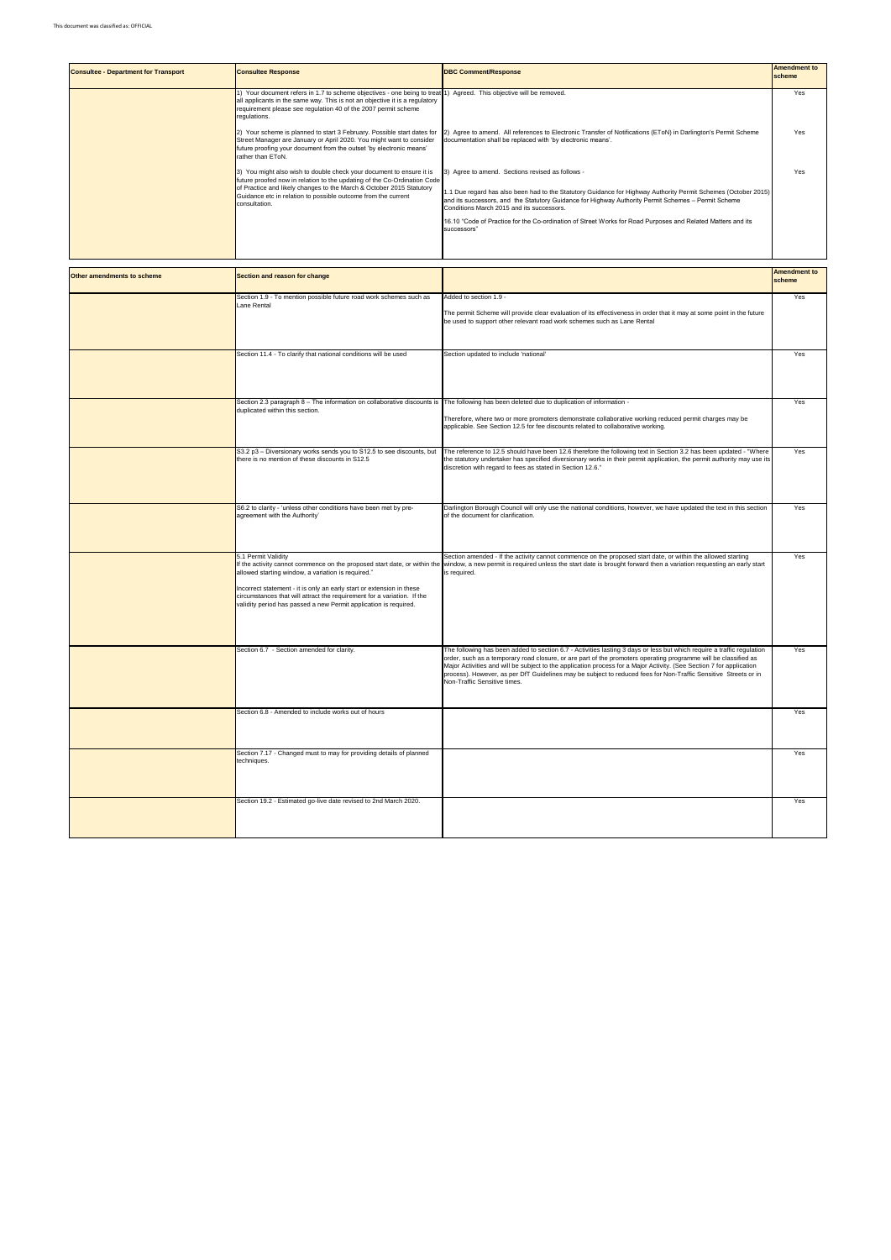| <b>Consultee - Department for Transport</b> | <b>Consultee Response</b>                                                                                                                                                                                                                                                                               | <b>DBC Comment/Response</b>                                                                                                                                                                                                                                                                                                                                                                                                                          | <b>Amendment to</b><br>scheme |
|---------------------------------------------|---------------------------------------------------------------------------------------------------------------------------------------------------------------------------------------------------------------------------------------------------------------------------------------------------------|------------------------------------------------------------------------------------------------------------------------------------------------------------------------------------------------------------------------------------------------------------------------------------------------------------------------------------------------------------------------------------------------------------------------------------------------------|-------------------------------|
|                                             | Your document refers in 1.7 to scheme objectives - one being to treat 1) Agreed. This objective will be removed.<br>all applicants in the same way. This is not an objective it is a regulatory<br>requirement please see regulation 40 of the 2007 permit scheme<br>regulations.                       |                                                                                                                                                                                                                                                                                                                                                                                                                                                      | Yes                           |
|                                             | Your scheme is planned to start 3 February. Possible start dates for<br>Street Manager are January or April 2020. You might want to consider<br>future proofing your document from the outset 'by electronic means'<br>rather than EToN.                                                                | 2) Agree to amend. All references to Electronic Transfer of Notifications (EToN) in Darlington's Permit Scheme<br>documentation shall be replaced with 'by electronic means'.                                                                                                                                                                                                                                                                        | Yes                           |
|                                             | You might also wish to double check your document to ensure it is<br>future proofed now in relation to the updating of the Co-Ordination Code<br>of Practice and likely changes to the March & October 2015 Statutory<br>Guidance etc in relation to possible outcome from the current<br>consultation. | 3) Agree to amend. Sections revised as follows -<br>1.1 Due regard has also been had to the Statutory Guidance for Highway Authority Permit Schemes (October 2015)<br>and its successors, and the Statutory Guidance for Highway Authority Permit Schemes - Permit Scheme<br>Conditions March 2015 and its successors.<br>16.10 "Code of Practice for the Co-ordination of Street Works for Road Purposes and Related Matters and its<br>successors" | Yes                           |

| Other amendments to scheme | Section and reason for change                                                                                                                                                                                                                                                                                                                                                  |                                                                                                                                                                                                                                                                                                                                                                                                                                                                                                                      | <b>Amendment to</b><br>scheme |
|----------------------------|--------------------------------------------------------------------------------------------------------------------------------------------------------------------------------------------------------------------------------------------------------------------------------------------------------------------------------------------------------------------------------|----------------------------------------------------------------------------------------------------------------------------------------------------------------------------------------------------------------------------------------------------------------------------------------------------------------------------------------------------------------------------------------------------------------------------------------------------------------------------------------------------------------------|-------------------------------|
|                            | Section 1.9 - To mention possible future road work schemes such as<br>Lane Rental                                                                                                                                                                                                                                                                                              | Added to section 1.9 -<br>The permit Scheme will provide clear evaluation of its effectiveness in order that it may at some point in the future<br>be used to support other relevant road work schemes such as Lane Rental                                                                                                                                                                                                                                                                                           | Yes                           |
|                            | Section 11.4 - To clarify that national conditions will be used                                                                                                                                                                                                                                                                                                                | Section updated to include 'national'                                                                                                                                                                                                                                                                                                                                                                                                                                                                                | Yes                           |
|                            | Section 2.3 paragraph 8 - The information on collaborative discounts is<br>duplicated within this section.                                                                                                                                                                                                                                                                     | The following has been deleted due to duplication of information -<br>Therefore, where two or more promoters demonstrate collaborative working reduced permit charges may be<br>applicable. See Section 12.5 for fee discounts related to collaborative working.                                                                                                                                                                                                                                                     | Yes                           |
|                            | S3.2 p3 - Diversionary works sends you to S12.5 to see discounts, but<br>there is no mention of these discounts in S12.5                                                                                                                                                                                                                                                       | The reference to 12.5 should have been 12.6 therefore the following text in Section 3.2 has been updated - "Where<br>the statutory undertaker has specified diversionary works in their permit application, the permit authority may use its<br>discretion with regard to fees as stated in Section 12.6."                                                                                                                                                                                                           | Yes                           |
|                            | S6.2 to clarity - 'unless other conditions have been met by pre-<br>agreement with the Authority'                                                                                                                                                                                                                                                                              | Darlington Borough Council will only use the national conditions, however, we have updated the text in this section<br>of the document for clarification.                                                                                                                                                                                                                                                                                                                                                            | Yes                           |
|                            | 5.1 Permit Validity<br>If the activity cannot commence on the proposed start date, or within the<br>allowed starting window, a variation is required."<br>Incorrect statement - it is only an early start or extension in these<br>circumstances that will attract the requirement for a variation. If the<br>validity period has passed a new Permit application is required. | Section amended - If the activity cannot commence on the proposed start date, or within the allowed starting<br>window, a new permit is required unless the start date is brought forward then a variation requesting an early start<br>is required.                                                                                                                                                                                                                                                                 | Yes                           |
|                            | Section 6.7 - Section amended for clarity.                                                                                                                                                                                                                                                                                                                                     | The following has been added to section 6.7 - Activities lasting 3 days or less but which require a traffic regulation<br>order, such as a temporary road closure, or are part of the promoters operating programme will be classified as<br>Major Activities and will be subject to the application process for a Major Activity. (See Section 7 for application<br>process). However, as per DfT Guidelines may be subject to reduced fees for Non-Traffic Sensitive Streets or in<br>Non-Traffic Sensitive times. | Yes                           |
|                            | Section 6.8 - Amended to include works out of hours                                                                                                                                                                                                                                                                                                                            |                                                                                                                                                                                                                                                                                                                                                                                                                                                                                                                      | Yes                           |
|                            | Section 7.17 - Changed must to may for providing details of planned<br>techniques.                                                                                                                                                                                                                                                                                             |                                                                                                                                                                                                                                                                                                                                                                                                                                                                                                                      | Yes                           |
|                            | Section 19.2 - Estimated go-live date revised to 2nd March 2020.                                                                                                                                                                                                                                                                                                               |                                                                                                                                                                                                                                                                                                                                                                                                                                                                                                                      | Yes                           |